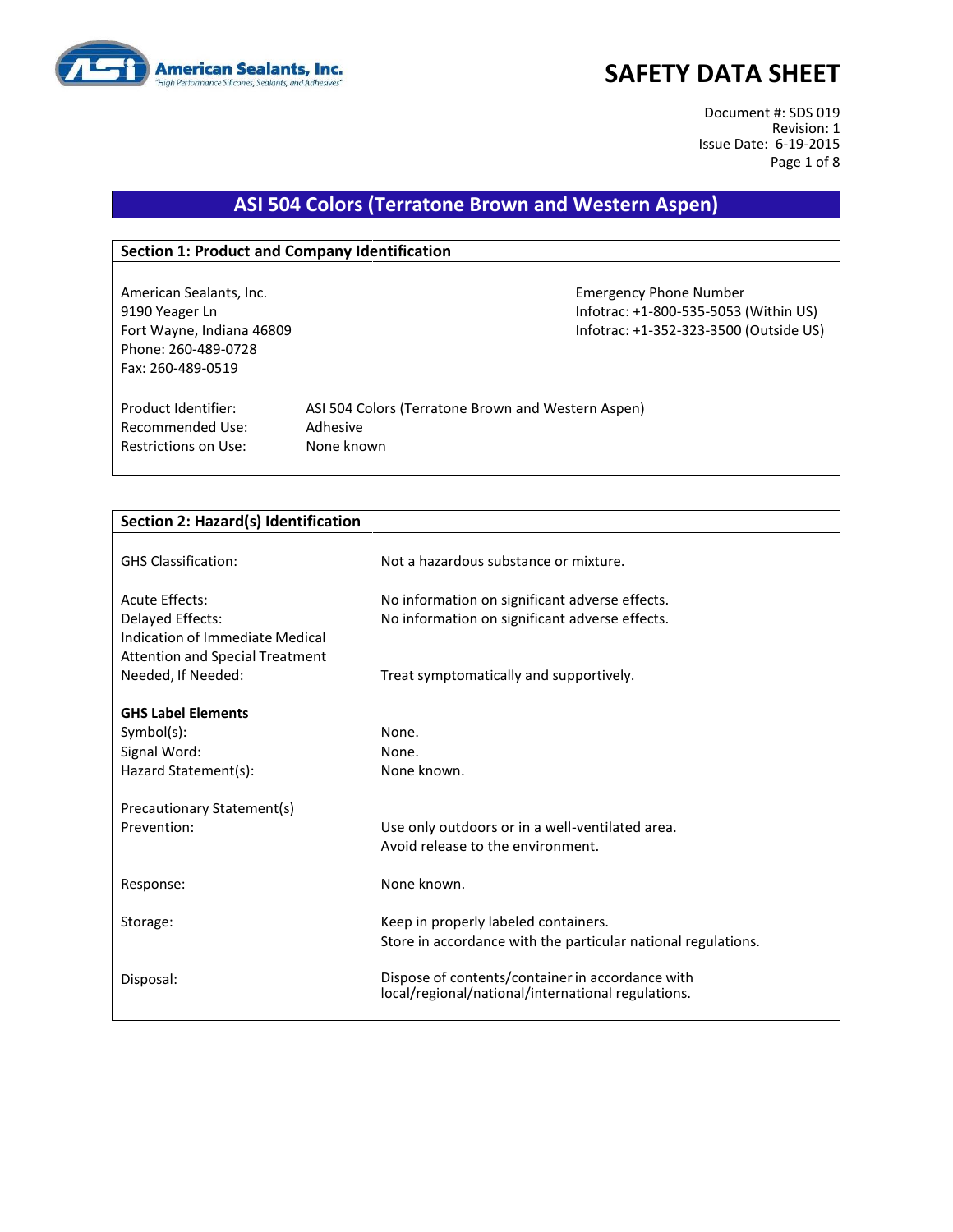

Document #: SDS 019 Revision: 1 Issue Date: 6-19-2015 Page 1 of 8

# **ASI 504 Colors (Terratone Brown and Western Aspen)**

#### **Section 1: Product and Company Identification**

American Sealants, Inc. Emergency Phone Number 9190 Yeager Ln Infotrac: +1-800-535-5053 (Within US) Fort Wayne, Indiana 46809 Infotrac: +1-352-323-3500 (Outside US) Phone: 260-489-0728 Fax: 260-489-0519

Recommended Use: Adhesive Restrictions on Use: None known

Product Identifier: ASI 504 Colors (Terratone Brown and Western Aspen)

| Section 2: Hazard(s) Identification    |                                                               |  |
|----------------------------------------|---------------------------------------------------------------|--|
|                                        |                                                               |  |
| <b>GHS Classification:</b>             | Not a hazardous substance or mixture.                         |  |
|                                        |                                                               |  |
| Acute Effects:                         | No information on significant adverse effects.                |  |
| Delayed Effects:                       | No information on significant adverse effects.                |  |
| Indication of Immediate Medical        |                                                               |  |
| <b>Attention and Special Treatment</b> |                                                               |  |
| Needed, If Needed:                     | Treat symptomatically and supportively.                       |  |
|                                        |                                                               |  |
| <b>GHS Label Elements</b>              |                                                               |  |
| $Symbol(s)$ :                          | None.                                                         |  |
| Signal Word:                           | None.                                                         |  |
| Hazard Statement(s):                   | None known.                                                   |  |
| Precautionary Statement(s)             |                                                               |  |
| Prevention:                            | Use only outdoors or in a well-ventilated area.               |  |
|                                        | Avoid release to the environment.                             |  |
|                                        |                                                               |  |
| Response:                              | None known.                                                   |  |
|                                        |                                                               |  |
| Storage:                               | Keep in properly labeled containers.                          |  |
|                                        | Store in accordance with the particular national regulations. |  |
|                                        |                                                               |  |
| Disposal:                              | Dispose of contents/container in accordance with              |  |
|                                        | local/regional/national/international regulations.            |  |
|                                        |                                                               |  |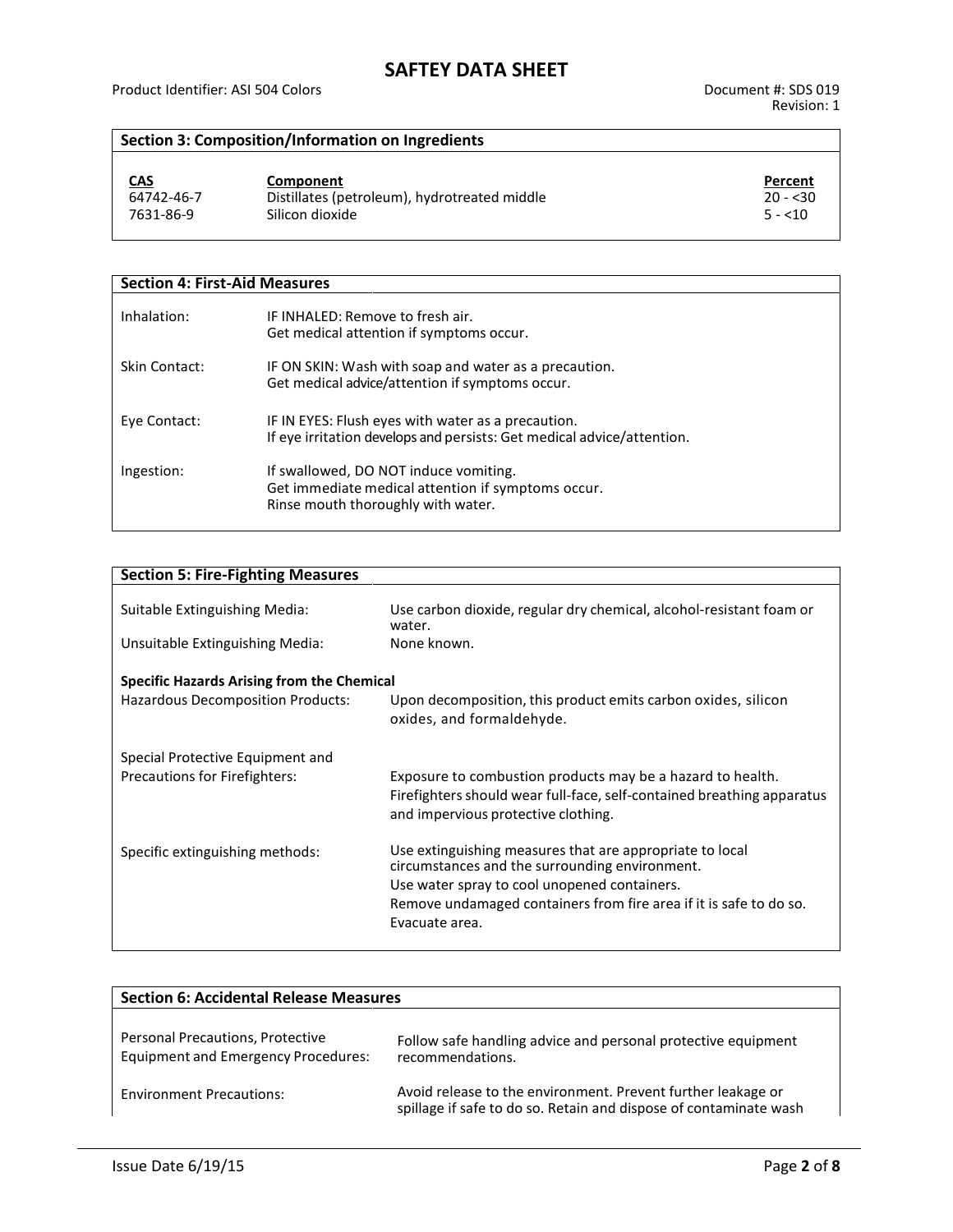### **Section 3: Composition/Information on Ingredients**

| <u>CAS</u> | Component                                    | Percent   |
|------------|----------------------------------------------|-----------|
| 64742-46-7 | Distillates (petroleum), hydrotreated middle | $20 - 30$ |
| 7631-86-9  | Silicon dioxide                              | $5 - 10$  |

| <b>Section 4: First-Aid Measures</b> |                                                                                                                                   |
|--------------------------------------|-----------------------------------------------------------------------------------------------------------------------------------|
| Inhalation:                          | IF INHALED: Remove to fresh air.<br>Get medical attention if symptoms occur.                                                      |
| Skin Contact:                        | IF ON SKIN: Wash with soap and water as a precaution.<br>Get medical advice/attention if symptoms occur.                          |
| Eye Contact:                         | IF IN EYES: Flush eyes with water as a precaution.<br>If eye irritation develops and persists: Get medical advice/attention.      |
| Ingestion:                           | If swallowed, DO NOT induce vomiting.<br>Get immediate medical attention if symptoms occur.<br>Rinse mouth thoroughly with water. |

| <b>Section 5: Fire-Fighting Measures</b>          |                                                                                                                                                                             |  |  |  |
|---------------------------------------------------|-----------------------------------------------------------------------------------------------------------------------------------------------------------------------------|--|--|--|
|                                                   |                                                                                                                                                                             |  |  |  |
| Suitable Extinguishing Media:                     | Use carbon dioxide, regular dry chemical, alcohol-resistant foam or<br>water.                                                                                               |  |  |  |
| Unsuitable Extinguishing Media:                   | None known.                                                                                                                                                                 |  |  |  |
| <b>Specific Hazards Arising from the Chemical</b> |                                                                                                                                                                             |  |  |  |
| <b>Hazardous Decomposition Products:</b>          | Upon decomposition, this product emits carbon oxides, silicon<br>oxides, and formaldehyde.                                                                                  |  |  |  |
| Special Protective Equipment and                  |                                                                                                                                                                             |  |  |  |
| <b>Precautions for Firefighters:</b>              | Exposure to combustion products may be a hazard to health.<br>Firefighters should wear full-face, self-contained breathing apparatus<br>and impervious protective clothing. |  |  |  |
| Specific extinguishing methods:                   | Use extinguishing measures that are appropriate to local<br>circumstances and the surrounding environment.                                                                  |  |  |  |
|                                                   | Use water spray to cool unopened containers.                                                                                                                                |  |  |  |
|                                                   | Remove undamaged containers from fire area if it is safe to do so.                                                                                                          |  |  |  |
|                                                   | Evacuate area.                                                                                                                                                              |  |  |  |
|                                                   |                                                                                                                                                                             |  |  |  |

| <b>Section 6: Accidental Release Measures</b>                                  |                                                                                                                                   |  |
|--------------------------------------------------------------------------------|-----------------------------------------------------------------------------------------------------------------------------------|--|
| Personal Precautions, Protective<br><b>Equipment and Emergency Procedures:</b> | Follow safe handling advice and personal protective equipment<br>recommendations.                                                 |  |
| <b>Environment Precautions:</b>                                                | Avoid release to the environment. Prevent further leakage or<br>spillage if safe to do so. Retain and dispose of contaminate wash |  |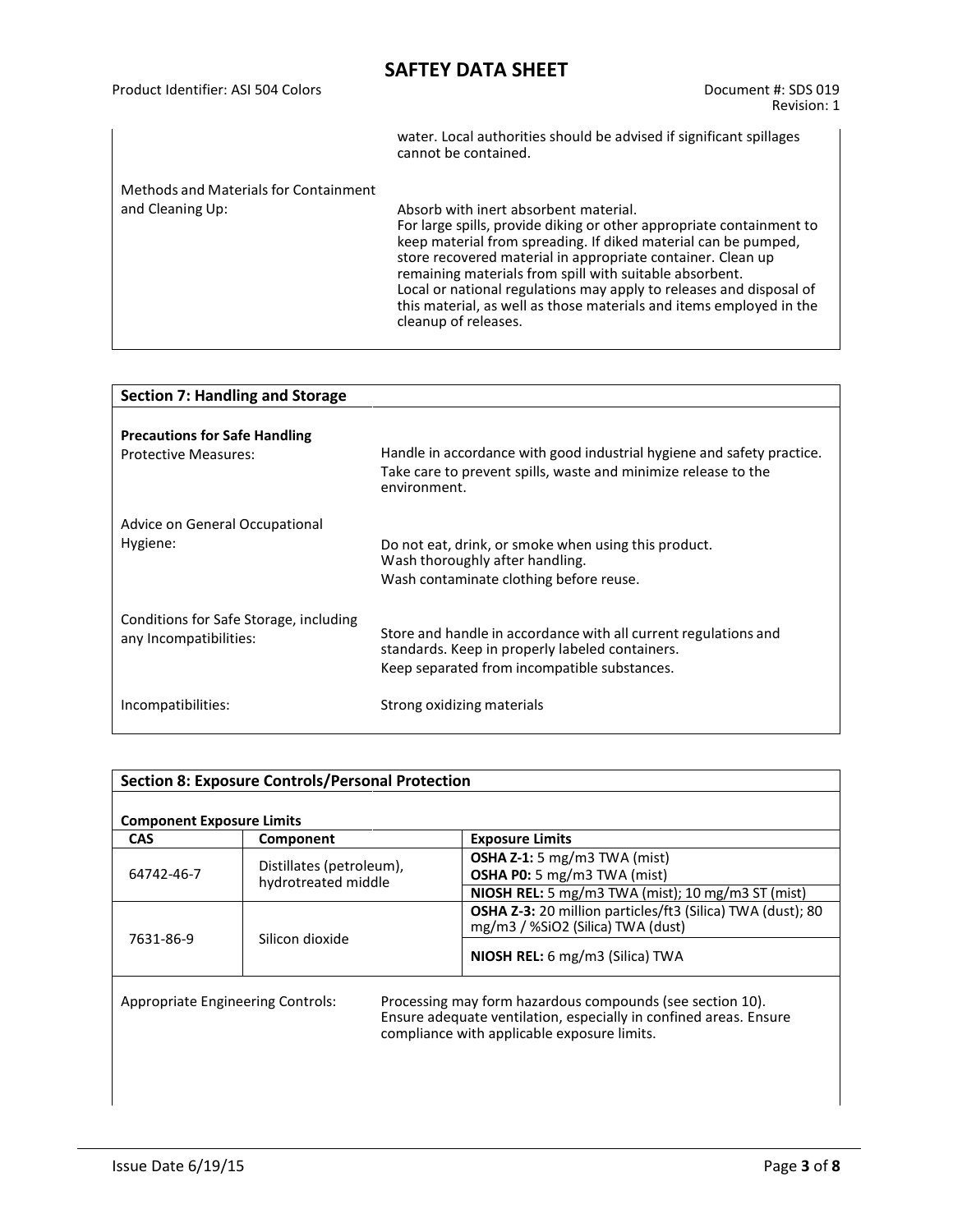|                                       | water. Local authorities should be advised if significant spillages<br>cannot be contained.                                                                                                                                                                                                                                                                                                                                                                                     |
|---------------------------------------|---------------------------------------------------------------------------------------------------------------------------------------------------------------------------------------------------------------------------------------------------------------------------------------------------------------------------------------------------------------------------------------------------------------------------------------------------------------------------------|
| Methods and Materials for Containment |                                                                                                                                                                                                                                                                                                                                                                                                                                                                                 |
| and Cleaning Up:                      | Absorb with inert absorbent material.<br>For large spills, provide diking or other appropriate containment to<br>keep material from spreading. If diked material can be pumped,<br>store recovered material in appropriate container. Clean up<br>remaining materials from spill with suitable absorbent.<br>Local or national regulations may apply to releases and disposal of<br>this material, as well as those materials and items employed in the<br>cleanup of releases. |

| <b>Section 7: Handling and Storage</b>                              |                                                                                                                                                                    |  |
|---------------------------------------------------------------------|--------------------------------------------------------------------------------------------------------------------------------------------------------------------|--|
| <b>Precautions for Safe Handling</b><br><b>Protective Measures:</b> | Handle in accordance with good industrial hygiene and safety practice.<br>Take care to prevent spills, waste and minimize release to the<br>environment.           |  |
| Advice on General Occupational<br>Hygiene:                          | Do not eat, drink, or smoke when using this product.<br>Wash thoroughly after handling.<br>Wash contaminate clothing before reuse.                                 |  |
| Conditions for Safe Storage, including<br>any Incompatibilities:    | Store and handle in accordance with all current regulations and<br>standards. Keep in properly labeled containers.<br>Keep separated from incompatible substances. |  |
| Incompatibilities:                                                  | Strong oxidizing materials                                                                                                                                         |  |

| <b>Section 8: Exposure Controls/Personal Protection</b>                                                                                                                                                            |                                                 |                                                                                                 |
|--------------------------------------------------------------------------------------------------------------------------------------------------------------------------------------------------------------------|-------------------------------------------------|-------------------------------------------------------------------------------------------------|
| <b>Component Exposure Limits</b>                                                                                                                                                                                   |                                                 |                                                                                                 |
| <b>CAS</b>                                                                                                                                                                                                         | Component                                       | <b>Exposure Limits</b>                                                                          |
| 64742-46-7                                                                                                                                                                                                         | Distillates (petroleum),<br>hydrotreated middle | <b>OSHA Z-1:</b> 5 mg/m3 TWA (mist)<br><b>OSHA P0:</b> 5 mg/m3 TWA (mist)                       |
|                                                                                                                                                                                                                    |                                                 | <b>NIOSH REL:</b> 5 mg/m3 TWA (mist); 10 mg/m3 ST (mist)                                        |
| 7631-86-9                                                                                                                                                                                                          |                                                 | OSHA Z-3: 20 million particles/ft3 (Silica) TWA (dust); 80<br>mg/m3 / %SiO2 (Silica) TWA (dust) |
|                                                                                                                                                                                                                    | Silicon dioxide                                 | NIOSH REL: 6 mg/m3 (Silica) TWA                                                                 |
| Processing may form hazardous compounds (see section 10).<br>Appropriate Engineering Controls:<br>Ensure adequate ventilation, especially in confined areas. Ensure<br>compliance with applicable exposure limits. |                                                 |                                                                                                 |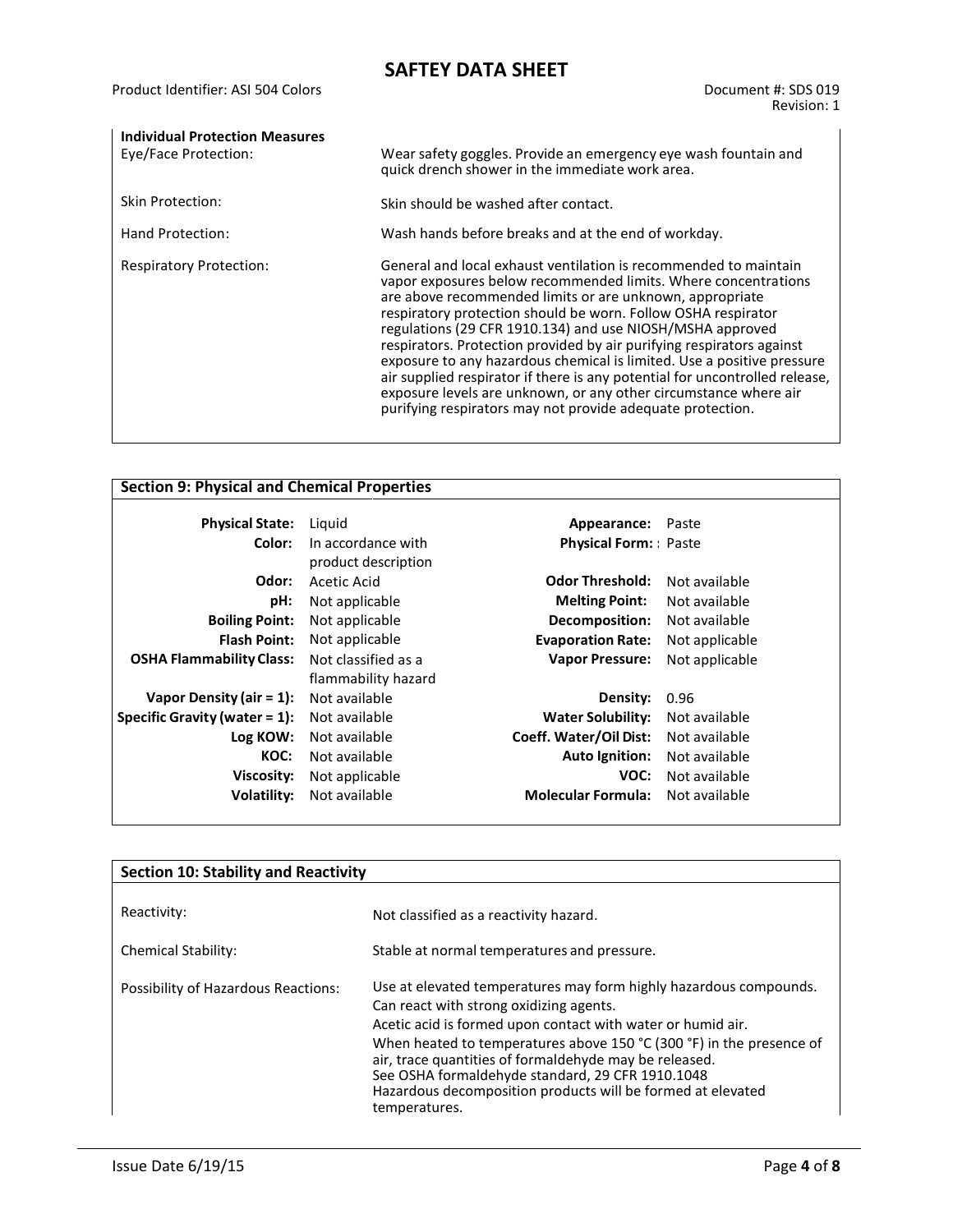| <b>Individual Protection Measures</b><br>Eye/Face Protection: | Wear safety goggles. Provide an emergency eye wash fountain and<br>quick drench shower in the immediate work area.                                                                                                                                                                                                                                                                                                                                                                                                                                                                                                                                                                               |
|---------------------------------------------------------------|--------------------------------------------------------------------------------------------------------------------------------------------------------------------------------------------------------------------------------------------------------------------------------------------------------------------------------------------------------------------------------------------------------------------------------------------------------------------------------------------------------------------------------------------------------------------------------------------------------------------------------------------------------------------------------------------------|
| Skin Protection:                                              | Skin should be washed after contact.                                                                                                                                                                                                                                                                                                                                                                                                                                                                                                                                                                                                                                                             |
| Hand Protection:                                              | Wash hands before breaks and at the end of workday.                                                                                                                                                                                                                                                                                                                                                                                                                                                                                                                                                                                                                                              |
| <b>Respiratory Protection:</b>                                | General and local exhaust ventilation is recommended to maintain<br>vapor exposures below recommended limits. Where concentrations<br>are above recommended limits or are unknown, appropriate<br>respiratory protection should be worn. Follow OSHA respirator<br>regulations (29 CFR 1910.134) and use NIOSH/MSHA approved<br>respirators. Protection provided by air purifying respirators against<br>exposure to any hazardous chemical is limited. Use a positive pressure<br>air supplied respirator if there is any potential for uncontrolled release,<br>exposure levels are unknown, or any other circumstance where air<br>purifying respirators may not provide adequate protection. |

| <b>Section 9: Physical and Chemical Properties</b> |                     |                             |                |
|----------------------------------------------------|---------------------|-----------------------------|----------------|
|                                                    |                     |                             |                |
| <b>Physical State:</b>                             | Liguid              | <b>Appearance:</b> Paste    |                |
| Color:                                             | In accordance with  | <b>Physical Form:</b> Paste |                |
|                                                    | product description |                             |                |
| Odor:                                              | Acetic Acid         | <b>Odor Threshold:</b>      | Not available  |
| pH:                                                | Not applicable      | <b>Melting Point:</b>       | Not available  |
| <b>Boiling Point:</b>                              | Not applicable      | Decomposition:              | Not available  |
| <b>Flash Point:</b>                                | Not applicable      | <b>Evaporation Rate:</b>    | Not applicable |
| <b>OSHA Flammability Class:</b>                    | Not classified as a | <b>Vapor Pressure:</b>      | Not applicable |
|                                                    | flammability hazard |                             |                |
| Vapor Density (air $= 1$ ):                        | Not available       | Density:                    | 0.96           |
| Specific Gravity (water $= 1$ ):                   | Not available       | <b>Water Solubility:</b>    | Not available  |
| Log KOW:                                           | Not available       | Coeff. Water/Oil Dist:      | Not available  |
| KOC:                                               | Not available       | <b>Auto Ignition:</b>       | Not available  |
| Viscosity:                                         | Not applicable      | VOC:                        | Not available  |
| Volatility:                                        | Not available       | <b>Molecular Formula:</b>   | Not available  |
|                                                    |                     |                             |                |

| <b>Section 10: Stability and Reactivity</b> |                                                                                                                                                                                                                                                                                                                                                                                                                                                   |  |
|---------------------------------------------|---------------------------------------------------------------------------------------------------------------------------------------------------------------------------------------------------------------------------------------------------------------------------------------------------------------------------------------------------------------------------------------------------------------------------------------------------|--|
| Reactivity:                                 | Not classified as a reactivity hazard.                                                                                                                                                                                                                                                                                                                                                                                                            |  |
| <b>Chemical Stability:</b>                  | Stable at normal temperatures and pressure.                                                                                                                                                                                                                                                                                                                                                                                                       |  |
| Possibility of Hazardous Reactions:         | Use at elevated temperatures may form highly hazardous compounds.<br>Can react with strong oxidizing agents.<br>Acetic acid is formed upon contact with water or humid air.<br>When heated to temperatures above 150 °C (300 °F) in the presence of<br>air, trace quantities of formaldehyde may be released.<br>See OSHA formaldehyde standard, 29 CFR 1910.1048<br>Hazardous decomposition products will be formed at elevated<br>temperatures. |  |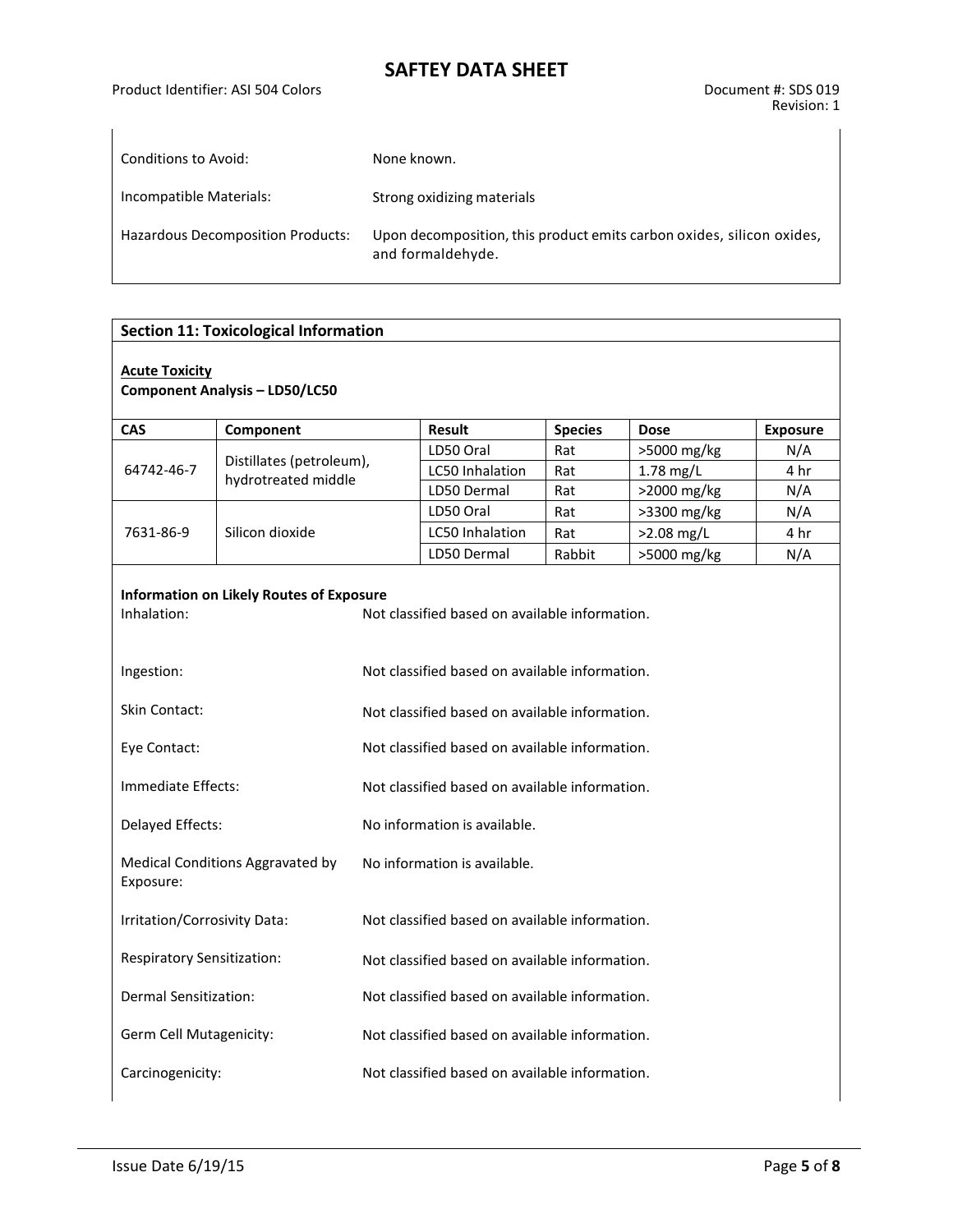| Conditions to Avoid:              | None known.                                                                                |
|-----------------------------------|--------------------------------------------------------------------------------------------|
| Incompatible Materials:           | Strong oxidizing materials                                                                 |
| Hazardous Decomposition Products: | Upon decomposition, this product emits carbon oxides, silicon oxides,<br>and formaldehyde. |

#### **Section 11: Toxicological Information**

#### **Acute Toxicity**

**Component Analysis – LD50/LC50**

| CAS                                                                                                                                                                              | Component                                       |                                                | <b>Result</b>                                  | <b>Species</b> | <b>Dose</b> | <b>Exposure</b> |  |  |  |
|----------------------------------------------------------------------------------------------------------------------------------------------------------------------------------|-------------------------------------------------|------------------------------------------------|------------------------------------------------|----------------|-------------|-----------------|--|--|--|
| 64742-46-7                                                                                                                                                                       |                                                 |                                                | LD50 Oral                                      | Rat            | >5000 mg/kg | N/A             |  |  |  |
|                                                                                                                                                                                  | Distillates (petroleum),<br>hydrotreated middle |                                                | LC50 Inhalation                                | Rat            | $1.78$ mg/L | 4 hr            |  |  |  |
|                                                                                                                                                                                  |                                                 |                                                | LD50 Dermal                                    | Rat            | >2000 mg/kg | N/A             |  |  |  |
|                                                                                                                                                                                  |                                                 |                                                | LD50 Oral                                      | Rat            | >3300 mg/kg | N/A             |  |  |  |
| 7631-86-9                                                                                                                                                                        | Silicon dioxide                                 |                                                | LC50 Inhalation                                | Rat            | >2.08 mg/L  | 4 hr            |  |  |  |
|                                                                                                                                                                                  |                                                 |                                                | LD50 Dermal                                    | Rabbit         | >5000 mg/kg | N/A             |  |  |  |
| <b>Information on Likely Routes of Exposure</b><br>Not classified based on available information.<br>Inhalation:<br>Not classified based on available information.<br>Ingestion: |                                                 |                                                |                                                |                |             |                 |  |  |  |
| <b>Skin Contact:</b>                                                                                                                                                             |                                                 | Not classified based on available information. |                                                |                |             |                 |  |  |  |
| Eye Contact:                                                                                                                                                                     |                                                 | Not classified based on available information. |                                                |                |             |                 |  |  |  |
| Immediate Effects:                                                                                                                                                               |                                                 | Not classified based on available information. |                                                |                |             |                 |  |  |  |
| Delayed Effects:                                                                                                                                                                 |                                                 | No information is available.                   |                                                |                |             |                 |  |  |  |
| Medical Conditions Aggravated by<br>Exposure:                                                                                                                                    |                                                 | No information is available.                   |                                                |                |             |                 |  |  |  |
| Irritation/Corrosivity Data:                                                                                                                                                     |                                                 |                                                | Not classified based on available information. |                |             |                 |  |  |  |
| Respiratory Sensitization:                                                                                                                                                       |                                                 |                                                | Not classified based on available information. |                |             |                 |  |  |  |
| Dermal Sensitization:                                                                                                                                                            |                                                 |                                                | Not classified based on available information. |                |             |                 |  |  |  |
| Germ Cell Mutagenicity:                                                                                                                                                          |                                                 |                                                | Not classified based on available information. |                |             |                 |  |  |  |
| Carcinogenicity:                                                                                                                                                                 |                                                 | Not classified based on available information. |                                                |                |             |                 |  |  |  |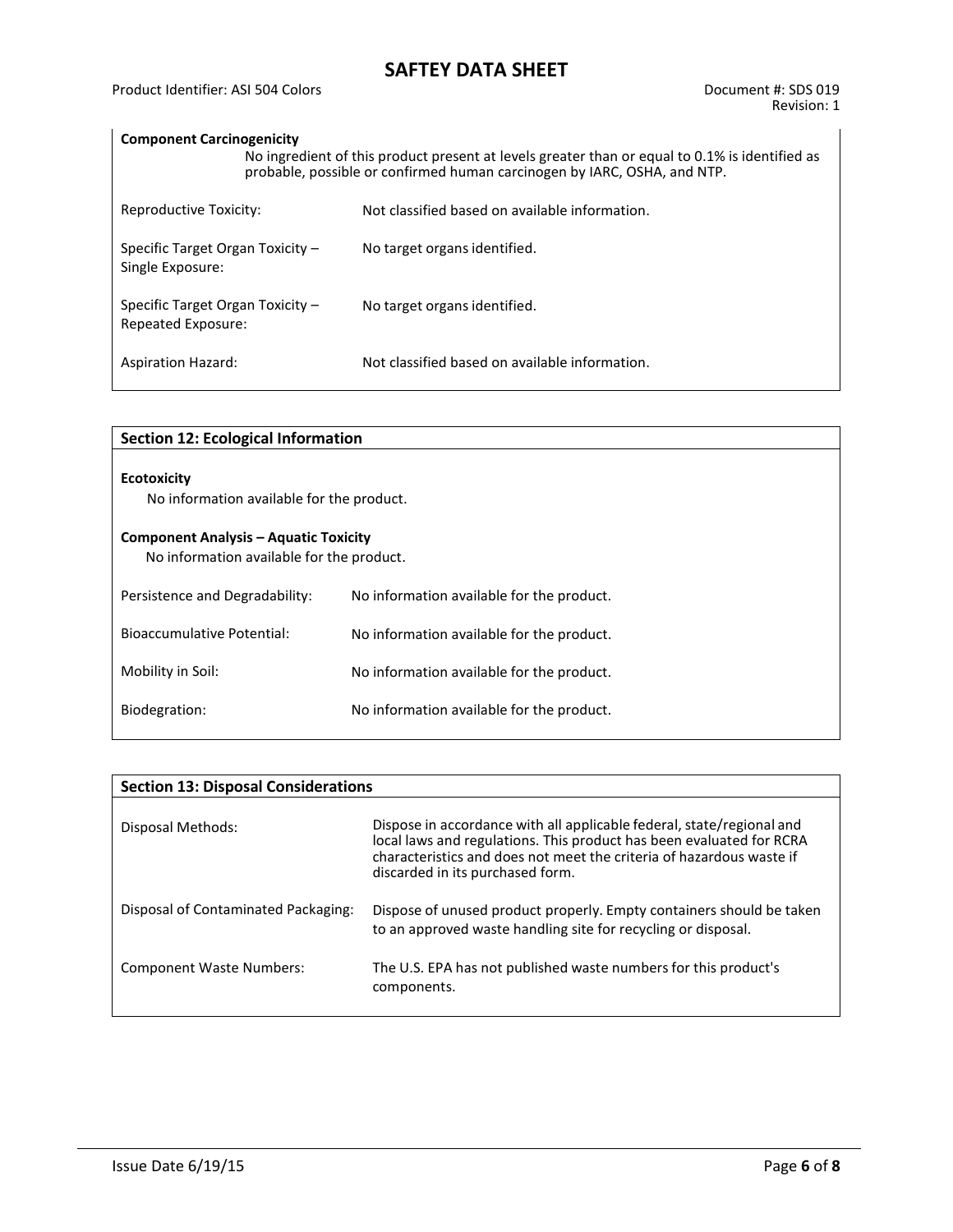### **Component Carcinogenicity**

| No ingredient of this product present at levels greater than or equal to 0.1% is identified as<br>probable, possible or confirmed human carcinogen by IARC, OSHA, and NTP. |  |                                                |  |  |  |  |  |
|----------------------------------------------------------------------------------------------------------------------------------------------------------------------------|--|------------------------------------------------|--|--|--|--|--|
| Reproductive Toxicity:                                                                                                                                                     |  | Not classified based on available information. |  |  |  |  |  |
| Specific Target Organ Toxicity $-$<br>Single Exposure:                                                                                                                     |  | No target organs identified.                   |  |  |  |  |  |
| Specific Target Organ Toxicity -<br>Repeated Exposure:                                                                                                                     |  | No target organs identified.                   |  |  |  |  |  |
| <b>Aspiration Hazard:</b>                                                                                                                                                  |  | Not classified based on available information. |  |  |  |  |  |

| <b>Section 12: Ecological Information</b>                                                 |                                           |  |  |  |  |
|-------------------------------------------------------------------------------------------|-------------------------------------------|--|--|--|--|
| <b>Ecotoxicity</b><br>No information available for the product.                           |                                           |  |  |  |  |
| <b>Component Analysis – Aquatic Toxicity</b><br>No information available for the product. |                                           |  |  |  |  |
| Persistence and Degradability:                                                            | No information available for the product. |  |  |  |  |
| Bioaccumulative Potential:                                                                | No information available for the product. |  |  |  |  |
| Mobility in Soil:                                                                         | No information available for the product. |  |  |  |  |
| Biodegration:                                                                             | No information available for the product. |  |  |  |  |
|                                                                                           |                                           |  |  |  |  |

| <b>Section 13: Disposal Considerations</b> |                                                                                                                                                                                                                                                           |  |  |  |  |  |
|--------------------------------------------|-----------------------------------------------------------------------------------------------------------------------------------------------------------------------------------------------------------------------------------------------------------|--|--|--|--|--|
| Disposal Methods:                          | Dispose in accordance with all applicable federal, state/regional and<br>local laws and regulations. This product has been evaluated for RCRA<br>characteristics and does not meet the criteria of hazardous waste if<br>discarded in its purchased form. |  |  |  |  |  |
| Disposal of Contaminated Packaging:        | Dispose of unused product properly. Empty containers should be taken<br>to an approved waste handling site for recycling or disposal.                                                                                                                     |  |  |  |  |  |
| <b>Component Waste Numbers:</b>            | The U.S. EPA has not published waste numbers for this product's<br>components.                                                                                                                                                                            |  |  |  |  |  |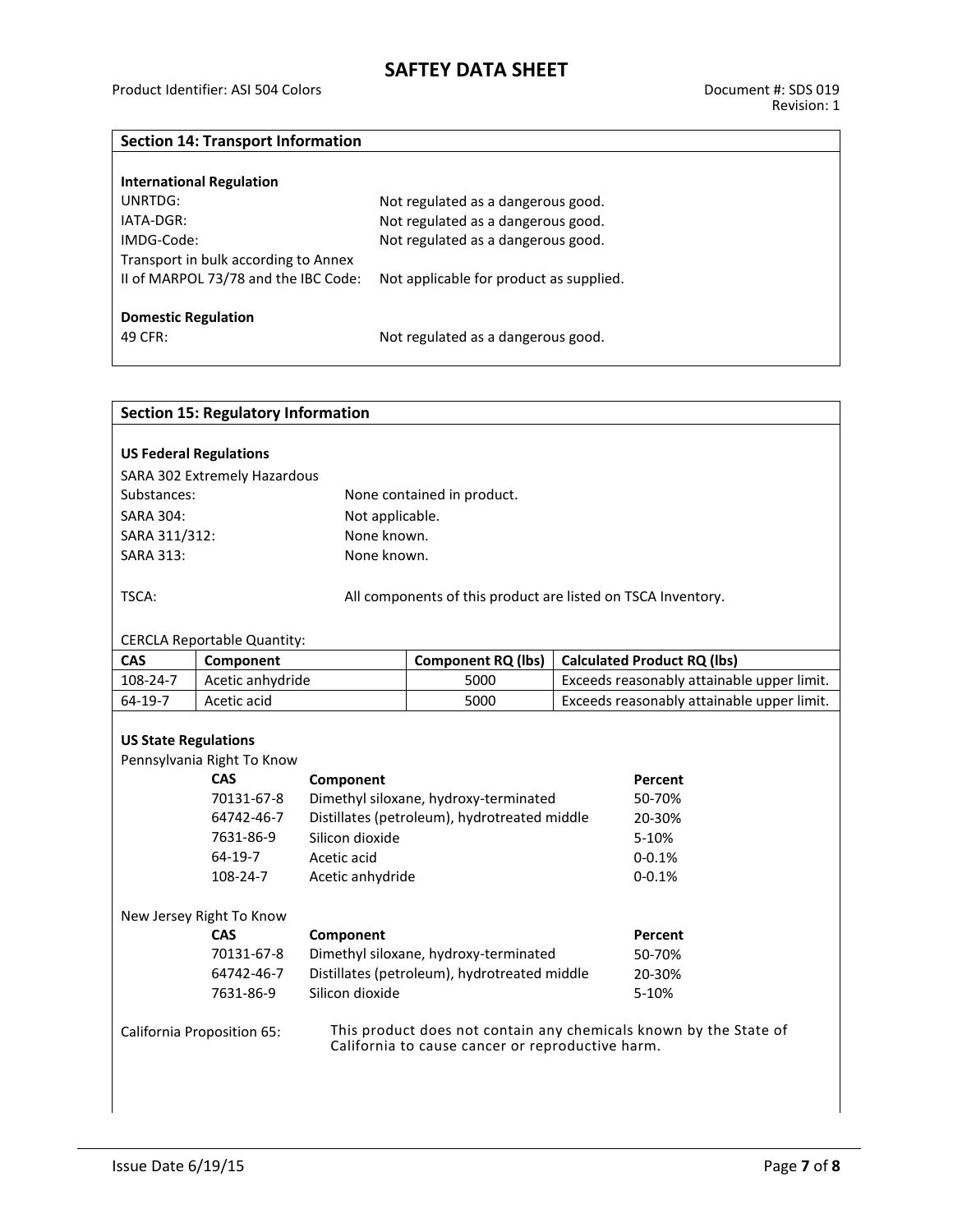### **Section 14: Transport Information**

| <b>International Regulation</b>      |                                         |
|--------------------------------------|-----------------------------------------|
| UNRTDG:                              | Not regulated as a dangerous good.      |
| IATA-DGR:                            | Not regulated as a dangerous good.      |
| IMDG-Code:                           | Not regulated as a dangerous good.      |
| Transport in bulk according to Annex |                                         |
| II of MARPOL 73/78 and the IBC Code: | Not applicable for product as supplied. |
|                                      |                                         |
| <b>Domestic Regulation</b>           |                                         |
| 49 CFR:                              | Not regulated as a dangerous good.      |
|                                      |                                         |

| <b>Section 15: Regulatory Information</b>                                                                                                           |                                                                               |                                              |                                       |        |                                            |  |  |  |
|-----------------------------------------------------------------------------------------------------------------------------------------------------|-------------------------------------------------------------------------------|----------------------------------------------|---------------------------------------|--------|--------------------------------------------|--|--|--|
|                                                                                                                                                     |                                                                               |                                              |                                       |        |                                            |  |  |  |
| <b>US Federal Regulations</b>                                                                                                                       |                                                                               |                                              |                                       |        |                                            |  |  |  |
| SARA 302 Extremely Hazardous                                                                                                                        |                                                                               |                                              |                                       |        |                                            |  |  |  |
| Substances:                                                                                                                                         |                                                                               |                                              | None contained in product.            |        |                                            |  |  |  |
| <b>SARA 304:</b>                                                                                                                                    |                                                                               | Not applicable.                              |                                       |        |                                            |  |  |  |
| SARA 311/312:                                                                                                                                       |                                                                               | None known.                                  |                                       |        |                                            |  |  |  |
| <b>SARA 313:</b>                                                                                                                                    |                                                                               | None known.                                  |                                       |        |                                            |  |  |  |
| TSCA:<br>All components of this product are listed on TSCA Inventory.                                                                               |                                                                               |                                              |                                       |        |                                            |  |  |  |
| <b>CERCLA Reportable Quantity:</b>                                                                                                                  |                                                                               |                                              |                                       |        |                                            |  |  |  |
| CAS                                                                                                                                                 | Component                                                                     |                                              | <b>Component RQ (lbs)</b>             |        | <b>Calculated Product RQ (lbs)</b>         |  |  |  |
| 108-24-7                                                                                                                                            | Acetic anhydride                                                              |                                              | 5000                                  |        | Exceeds reasonably attainable upper limit. |  |  |  |
| 64-19-7                                                                                                                                             | Acetic acid                                                                   |                                              | 5000                                  |        | Exceeds reasonably attainable upper limit. |  |  |  |
| <b>US State Regulations</b><br>Pennsylvania Right To Know                                                                                           |                                                                               |                                              |                                       |        |                                            |  |  |  |
|                                                                                                                                                     | <b>CAS</b>                                                                    | Component                                    |                                       |        | Percent                                    |  |  |  |
|                                                                                                                                                     | 70131-67-8                                                                    |                                              | Dimethyl siloxane, hydroxy-terminated |        | 50-70%                                     |  |  |  |
|                                                                                                                                                     | 64742-46-7                                                                    | Distillates (petroleum), hydrotreated middle |                                       | 20-30% |                                            |  |  |  |
|                                                                                                                                                     | 7631-86-9                                                                     | Silicon dioxide                              |                                       |        | 5-10%                                      |  |  |  |
|                                                                                                                                                     | 64-19-7                                                                       | Acetic acid                                  |                                       |        | $0 - 0.1%$                                 |  |  |  |
|                                                                                                                                                     | 108-24-7                                                                      | Acetic anhydride                             |                                       |        | $0 - 0.1%$                                 |  |  |  |
| New Jersey Right To Know                                                                                                                            |                                                                               |                                              |                                       |        |                                            |  |  |  |
|                                                                                                                                                     | <b>CAS</b><br>Component                                                       |                                              |                                       |        | Percent                                    |  |  |  |
|                                                                                                                                                     | 70131-67-8<br>Dimethyl siloxane, hydroxy-terminated                           |                                              |                                       |        | 50-70%                                     |  |  |  |
|                                                                                                                                                     | Distillates (petroleum), hydrotreated middle<br>64742-46-7<br>Silicon dioxide |                                              |                                       |        | 20-30%                                     |  |  |  |
|                                                                                                                                                     | 7631-86-9                                                                     | 5-10%                                        |                                       |        |                                            |  |  |  |
| This product does not contain any chemicals known by the State of<br>California Proposition 65:<br>California to cause cancer or reproductive harm. |                                                                               |                                              |                                       |        |                                            |  |  |  |